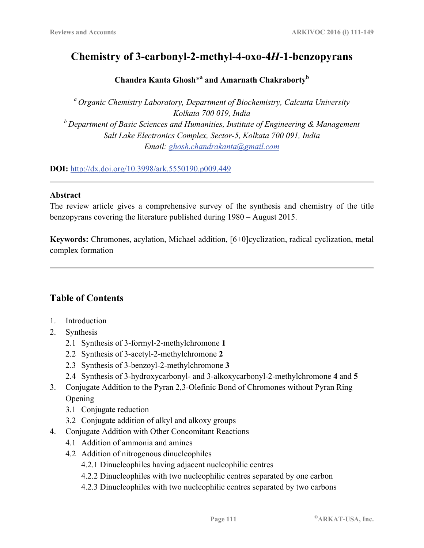# **Chemistry of 3-carbonyl-2-methyl-4-oxo-4***H***-1-benzopyrans**

## **Chandra Kanta Ghosh**\***<sup>a</sup> and Amarnath Chakraborty<sup>b</sup>**

*a Organic Chemistry Laboratory, Department of Biochemistry, Calcutta University Kolkata 700 019, India b Department of Basic Sciences and Humanities, Institute of Engineering & Management Salt Lake Electronics Complex, Sector-5, Kolkata 700 091, India Email: ghosh.chandrakanta@gmail.com* 

**DOI:** http://dx.doi.org/10.3998/ark.5550190.p009.449

## **Abstract**

The review article gives a comprehensive survey of the synthesis and chemistry of the title benzopyrans covering the literature published during 1980 – August 2015.

**Keywords:** Chromones, acylation, Michael addition, [6+0]cyclization, radical cyclization, metal complex formation

# **Table of Contents**

- 1. Introduction
- 2. Synthesis
	- 2.1 Synthesis of 3-formyl-2-methylchromone **1**
	- 2.2 Synthesis of 3-acetyl-2-methylchromone **2**
	- 2.3 Synthesis of 3-benzoyl-2-methylchromone **3**
	- 2.4 Synthesis of 3-hydroxycarbonyl- and 3-alkoxycarbonyl-2-methylchromone **4** and **5**
- 3. Conjugate Addition to the Pyran 2,3-Olefinic Bond of Chromones without Pyran Ring **Opening** 
	- 3.1 Conjugate reduction
	- 3.2 Conjugate addition of alkyl and alkoxy groups
- 4. Conjugate Addition with Other Concomitant Reactions
	- 4.1 Addition of ammonia and amines
	- 4.2 Addition of nitrogenous dinucleophiles
		- 4.2.1 Dinucleophiles having adjacent nucleophilic centres
		- 4.2.2 Dinucleophiles with two nucleophilic centres separated by one carbon
		- 4.2.3 Dinucleophiles with two nucleophilic centres separated by two carbons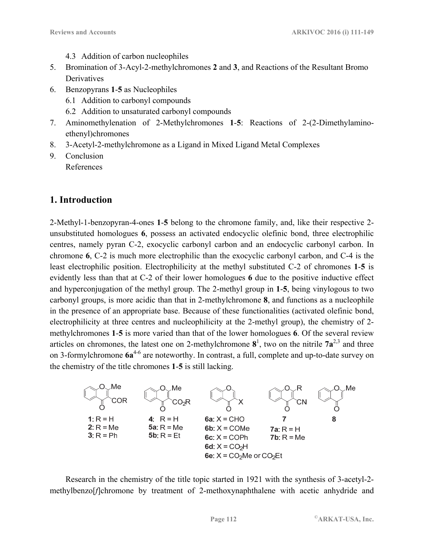- 4.3 Addition of carbon nucleophiles
- 5. Bromination of 3-Acyl-2-methylchromones **2** and **3**, and Reactions of the Resultant Bromo Derivatives
- 6. Benzopyrans **1**-**5** as Nucleophiles
	- 6.1 Addition to carbonyl compounds
	- 6.2 Addition to unsaturated carbonyl compounds
- 7. Aminomethylenation of 2-Methylchromones **1**-**5**: Reactions of 2-(2-Dimethylamino ethenyl)chromones
- 8. 3-Acetyl-2-methylchromone as a Ligand in Mixed Ligand Metal Complexes
- 9. Conclusion References

# **1. Introduction**

2-Methyl-1-benzopyran-4-ones **1**-**5** belong to the chromone family, and, like their respective 2 unsubstituted homologues **6**, possess an activated endocyclic olefinic bond, three electrophilic centres, namely pyran C-2, exocyclic carbonyl carbon and an endocyclic carbonyl carbon. In chromone **6**, C-2 is much more electrophilic than the exocyclic carbonyl carbon, and C-4 is the least electrophilic position. Electrophilicity at the methyl substituted C-2 of chromones **1**-**5** is evidently less than that at C-2 of their lower homologues **6** due to the positive inductive effect and hyperconjugation of the methyl group. The 2-methyl group in **1**-**5**, being vinylogous to two carbonyl groups, is more acidic than that in 2-methylchromone **8**, and functions as a nucleophile in the presence of an appropriate base. Because of these functionalities (activated olefinic bond, electrophilicity at three centres and nucleophilicity at the 2-methyl group), the chemistry of 2 methylchromones **1**-**5** is more varied than that of the lower homologues **6**. Of the several review articles on chromones, the latest one on 2-methylchromone  $\mathbf{8}^1$ , two on the nitrile  $7\mathbf{a}^{2,3}$  and three on 3-formylchromone **6a**4-6 are noteworthy. In contrast, a full, complete and up-to-date survey on the chemistry of the title chromones **1**-**5** is still lacking.



Research in the chemistry of the title topic started in 1921 with the synthesis of 3-acetyl-2 methylbenzo[*f*]chromone by treatment of 2-methoxynaphthalene with acetic anhydride and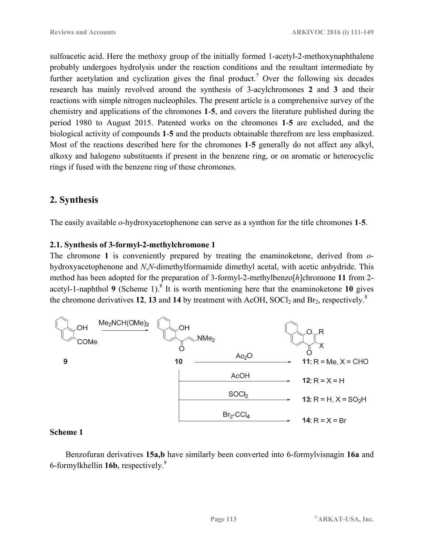sulfoacetic acid. Here the methoxy group of the initially formed 1-acetyl-2-methoxynaphthalene probably undergoes hydrolysis under the reaction conditions and the resultant intermediate by further acetylation and cyclization gives the final product.<sup>7</sup> Over the following six decades research has mainly revolved around the synthesis of 3-acylchromones **2** and **3** and their reactions with simple nitrogen nucleophiles. The present article is a comprehensive survey of the chemistry and applications of the chromones **1**-**5**, and covers the literature published during the period 1980 to August 2015. Patented works on the chromones **1**-**5** are excluded, and the biological activity of compounds **1**-**5** and the products obtainable therefrom are less emphasized. Most of the reactions described here for the chromones **1**-**5** generally do not affect any alkyl, alkoxy and halogeno substituents if present in the benzene ring, or on aromatic or heterocyclic rings if fused with the benzene ring of these chromones.

# **2. Synthesis**

The easily available *o*-hydroxyacetophenone can serve as a synthon for the title chromones **1**-**5**.

## **2.1. Synthesis of 3-formyl-2-methylchromone 1**

The chromone **1** is conveniently prepared by treating the enaminoketone, derived from *o*hydroxyacetophenone and *N*,*N*-dimethylformamide dimethyl acetal, with acetic anhydride. This method has been adopted for the preparation of 3-formyl-2-methylbenzo[*h*]chromone **11** from 2 acetyl-1-naphthol **9** (Scheme 1).<sup>8</sup> It is worth mentioning here that the enaminoketone **10** gives the chromone derivatives **12**, **13** and **14** by treatment with AcOH,  $S OCl<sub>2</sub>$  and  $Br<sub>2</sub>$ , respectively.<sup>8</sup>



## **Scheme 1**

Benzofuran derivatives **15a,b** have similarly been converted into 6-formylvisnagin **16a** and 6-formylkhellin **16b**, respectively.9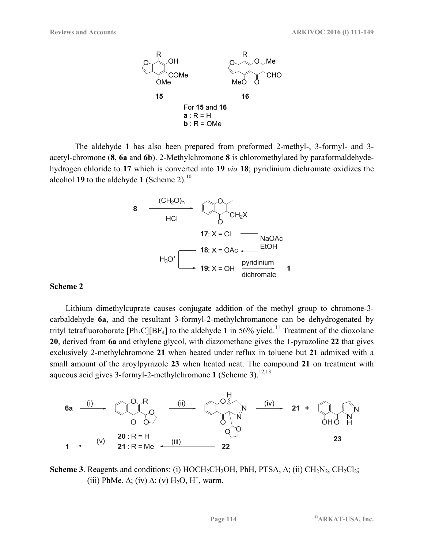

The aldehyde **1** has also been prepared from preformed 2-methyl-, 3-formyl- and 3 acetyl-chromone (**8**, **6a** and **6b**). 2-Methylchromone **8** is chloromethylated by paraformaldehydehydrogen chloride to **17** which is converted into **19** *via* **18**; pyridinium dichromate oxidizes the alcohol **19** to the aldehyde **1** (Scheme 2).10



#### **Scheme 2**

Lithium dimethylcuprate causes conjugate addition of the methyl group to chromone-3 carbaldehyde **6a**, and the resultant 3-formyl-2-methylchromanone can be dehydrogenated by trityl tetrafluoroborate  $[Ph_3C][BF_4]$  to the aldehyde 1 in 56% yield.<sup>11</sup> Treatment of the dioxolane **20**, derived from **6a** and ethylene glycol, with diazomethane gives the 1-pyrazoline **22** that gives exclusively 2-methylchromone **21** when heated under reflux in toluene but **21** admixed with a small amount of the aroylpyrazole **23** when heated neat. The compound **21** on treatment with aqueous acid gives 3-formyl-2-methylchromone 1 (Scheme 3).<sup>12,13</sup>



**Scheme 3**. Reagents and conditions: (i) HOCH<sub>2</sub>CH<sub>2</sub>OH, PhH, PTSA,  $\Delta$ ; (ii) CH<sub>2</sub>N<sub>2</sub>, CH<sub>2</sub>Cl<sub>2</sub>; (iii) PhMe,  $\Delta$ ; (iv)  $\Delta$ ; (v) H<sub>2</sub>O, H<sup>+</sup>, warm.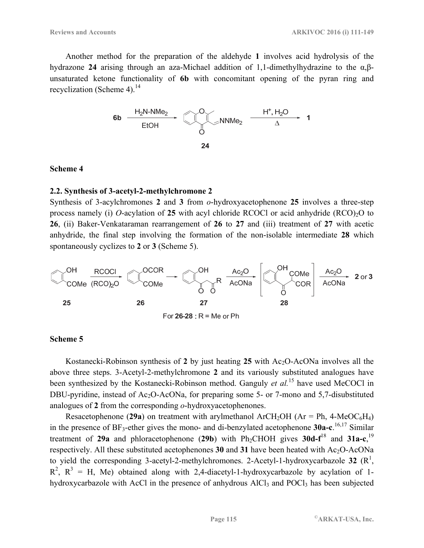Another method for the preparation of the aldehyde **1** involves acid hydrolysis of the hydrazone **24** arising through an aza-Michael addition of 1,1-dimethylhydrazine to the α,βunsaturated ketone functionality of **6b** with concomitant opening of the pyran ring and recyclization (Scheme 4). $^{14}$ 



#### **Scheme 4**

#### **2.2. Synthesis of 3-acetyl-2-methylchromone 2**

Synthesis of 3-acylchromones **2** and **3** from *o*-hydroxyacetophenone **25** involves a three-step process namely (i) *O*-acylation of 25 with acyl chloride RCOCl or acid anhydride (RCO)<sub>2</sub>O to **26**, (ii) Baker-Venkataraman rearrangement of **26** to **27** and (iii) treatment of **27** with acetic anhydride, the final step involving the formation of the non-isolable intermediate **28** which spontaneously cyclizes to **2** or **3** (Scheme 5).



#### **Scheme 5**

Kostanecki-Robinson synthesis of 2 by just heating 25 with Ac<sub>2</sub>O-AcONa involves all the above three steps. 3-Acetyl-2-methylchromone **2** and its variously substituted analogues have been synthesized by the Kostanecki-Robinson method. Ganguly *et al.*15 have used MeCOCl in DBU-pyridine, instead of Ac<sub>2</sub>O-AcONa, for preparing some 5- or 7-mono and 5,7-disubstituted analogues of **2** from the corresponding *o*-hydroxyacetophenones.

Resacetophenone (29a) on treatment with arylmethanol ArCH<sub>2</sub>OH (Ar = Ph,  $4$ -MeOC<sub>6</sub>H<sub>4</sub>) in the presence of BF<sub>3</sub>-ether gives the mono- and di-benzylated acetophenone **30a-c**.<sup>16,17</sup> Similar treatment of 29a and phloracetophenone (29b) with Ph<sub>2</sub>CHOH gives 30d-f<sup>18</sup> and 31a-c,<sup>19</sup> respectively. All these substituted acetophenones  $30$  and  $31$  have been heated with Ac<sub>2</sub>O-AcONa to yield the corresponding 3-acetyl-2-methylchromones. 2-Acetyl-1-hydroxycarbazole 32  $(R^1, R^2)$  $R^2$ ,  $R^3$  = H, Me) obtained along with 2,4-diacetyl-1-hydroxycarbazole by acylation of 1hydroxycarbazole with AcCl in the presence of anhydrous AlCl<sub>3</sub> and POCl<sub>3</sub> has been subjected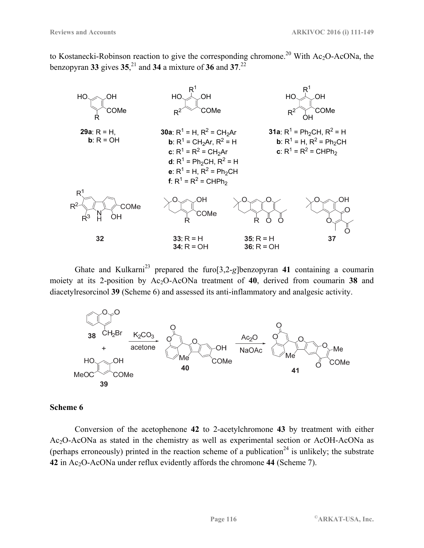to Kostanecki-Robinson reaction to give the corresponding chromone.<sup>20</sup> With Ac<sub>2</sub>O-AcONa, the benzopyran **33** gives **35**, 21 and **34** a mixture of **36** and **37**. 22



Ghate and Kulkarni<sup>23</sup> prepared the furo $\left[3,2\right]$ eglbenzopyran 41 containing a coumarin moiety at its 2-position by Ac2O-AcONa treatment of **40**, derived from coumarin **38** and diacetylresorcinol **39** (Scheme 6) and assessed its anti-inflammatory and analgesic activity.



#### **Scheme 6**

Conversion of the acetophenone **42** to 2-acetylchromone **43** by treatment with either Ac2O-AcONa as stated in the chemistry as well as experimental section or AcOH-AcONa as (perhaps erroneously) printed in the reaction scheme of a publication<sup>24</sup> is unlikely; the substrate **42** in Ac2O-AcONa under reflux evidently affords the chromone **44** (Scheme 7).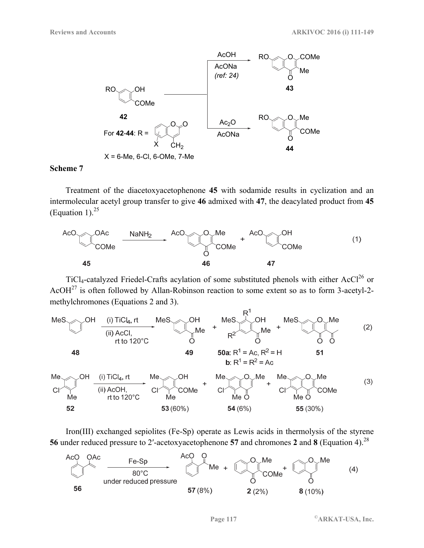

Treatment of the diacetoxyacetophenone **45** with sodamide results in cyclization and an intermolecular acetyl group transfer to give **46** admixed with **47**, the deacylated product from **45** (Equation 1). $^{25}$ 



TiCl<sub>4</sub>-catalyzed Friedel-Crafts acylation of some substituted phenols with either AcCl<sup>26</sup> or AcOH $^{27}$  is often followed by Allan-Robinson reaction to some extent so as to form 3-acetyl-2methylchromones (Equations 2 and 3).



Iron(III) exchanged sepiolites (Fe-Sp) operate as Lewis acids in thermolysis of the styrene **56** under reduced pressure to 2′-acetoxyacetophenone **57** and chromones **2** and **8** (Equation 4).28

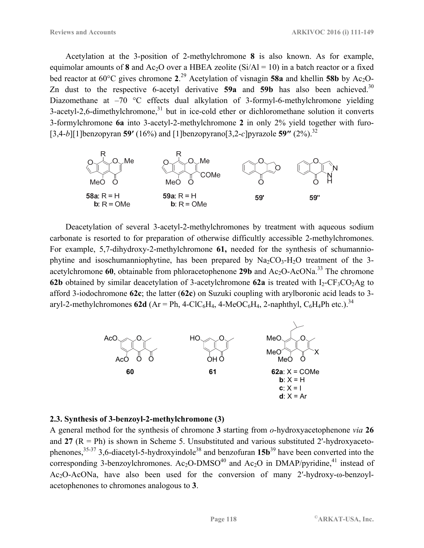Acetylation at the 3-position of 2-methylchromone **8** is also known. As for example, equimolar amounts of **8** and  $Ac_2O$  over a HBEA zeolite (Si/Al = 10) in a batch reactor or a fixed bed reactor at 60°C gives chromone **2**. 29 Acetylation of visnagin **58a** and khellin **58b** by Ac2O-Zn dust to the respective 6-acetyl derivative  $59a$  and  $59b$  has also been achieved.<sup>30</sup> Diazomethane at –70 °C effects dual alkylation of 3-formyl-6-methylchromone yielding  $3$ -acetyl-2,6-dimethylchromone, $31$  but in ice-cold ether or dichloromethane solution it converts 3-formylchromone **6a** into 3-acetyl-2-methylchromone **2** in only 2% yield together with furo- [3,4-*b*][1]benzopyran **59′** (16%) and [1]benzopyrano[3,2-*c*]pyrazole **59″** (2%).32



Deacetylation of several 3-acetyl-2-methylchromones by treatment with aqueous sodium carbonate is resorted to for preparation of otherwise difficultly accessible 2-methylchromones. For example, 5,7-dihydroxy-2-methylchromone **61,** needed for the synthesis of schumanniophytine and isoschumanniophytine, has been prepared by  $Na<sub>2</sub>CO<sub>3</sub>-H<sub>2</sub>O$  treatment of the 3acetylchromone  $60$ , obtainable from phloracetophenone **29b** and  $Ac_2O$ -AcONa.<sup>33</sup> The chromone **62b** obtained by similar deacetylation of 3-acetylchromone **62a** is treated with  $I_2$ -CF<sub>3</sub>CO<sub>2</sub>Ag to afford 3-iodochromone **62c**; the latter (**62c**) on Suzuki coupling with arylboronic acid leads to 3 aryl-2-methylchromones **62d** ( $Ar = Ph$ , 4-ClC<sub>6</sub>H<sub>4</sub>, 4-MeOC<sub>6</sub>H<sub>4</sub>, 2-naphthyl, C<sub>6</sub>H<sub>4</sub>Ph etc.).<sup>34</sup>



## **2.3. Synthesis of 3-benzoyl-2-methylchromone (3)**

A general method for the synthesis of chromone **3** starting from *o*-hydroxyacetophenone *via* **26** and  $27$  ( $R = Ph$ ) is shown in Scheme 5. Unsubstituted and various substituted 2'-hydroxyacetophenones,35-37 3,6-diacetyl-5-hydroxyindole38 and benzofuran **15b**39 have been converted into the corresponding 3-benzoylchromones. Ac<sub>2</sub>O-DMSO<sup>40</sup> and Ac<sub>2</sub>O in DMAP/pyridine,<sup>41</sup> instead of Ac2O-AcONa, have also been used for the conversion of many 2′-hydroxy-ω-benzoylacetophenones to chromones analogous to **3**.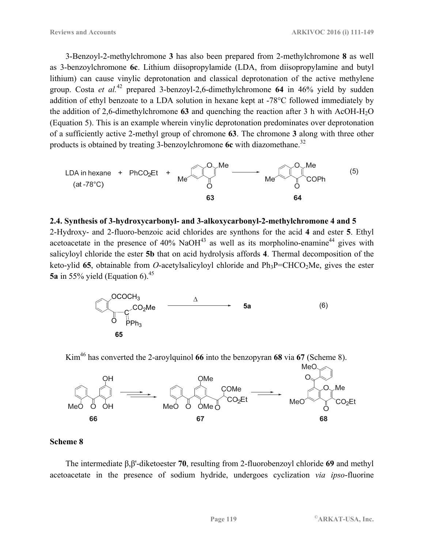3-Benzoyl-2-methylchromone **3** has also been prepared from 2-methylchromone **8** as well as 3-benzoylchromone **6c**. Lithium diisopropylamide (LDA, from diisopropylamine and butyl lithium) can cause vinylic deprotonation and classical deprotonation of the active methylene group. Costa *et al.*42 prepared 3-benzoyl-2,6-dimethylchromone **64** in 46% yield by sudden addition of ethyl benzoate to a LDA solution in hexane kept at -78°C followed immediately by the addition of 2,6-dimethylchromone 63 and quenching the reaction after 3 h with AcOH-H<sub>2</sub>O (Equation 5). This is an example wherein vinylic deprotonation predominates over deprotonation of a sufficiently active 2-methyl group of chromone **63**. The chromone **3** along with three other products is obtained by treating 3-benzoylchromone **6c** with diazomethane.<sup>32</sup>



## **2.4. Synthesis of 3-hydroxycarbonyl- and 3-alkoxycarbonyl-2-methylchromone 4 and 5**

2-Hydroxy- and 2-fluoro-benzoic acid chlorides are synthons for the acid **4** and ester **5**. Ethyl acetoacetate in the presence of  $40\%$  NaOH<sup>43</sup> as well as its morpholino-enamine<sup>44</sup> gives with salicyloyl chloride the ester **5b** that on acid hydrolysis affords **4**. Thermal decomposition of the keto-ylid 65, obtainable from *O*-acetylsalicyloyl chloride and  $Ph_3P=CHCO_2Me$ , gives the ester **5a** in 55% yield (Equation 6).<sup>45</sup>



Kim46 has converted the 2-aroylquinol **66** into the benzopyran **68** via **67** (Scheme 8).



## **Scheme 8**

The intermediate β,β'-diketoester **70**, resulting from 2-fluorobenzoyl chloride **69** and methyl acetoacetate in the presence of sodium hydride, undergoes cyclization *via ipso*-fluorine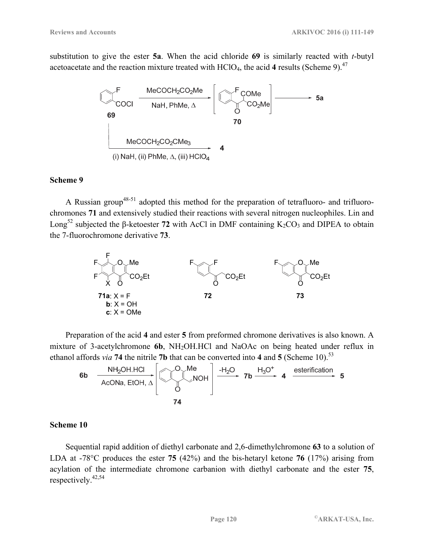substitution to give the ester **5a**. When the acid chloride **69** is similarly reacted with *t*-butyl acetoacetate and the reaction mixture treated with HClO<sub>4</sub>, the acid 4 results (Scheme 9).<sup>47</sup>



#### **Scheme 9**

A Russian group<sup>48-51</sup> adopted this method for the preparation of tetrafluoro- and trifluorochromones **71** and extensively studied their reactions with several nitrogen nucleophiles. Lin and Long<sup>52</sup> subjected the β-ketoester 72 with AcCl in DMF containing  $K_2CO_3$  and DIPEA to obtain the 7-fluorochromone derivative **73**.



Preparation of the acid **4** and ester **5** from preformed chromone derivatives is also known. A mixture of 3-acetylchromone **6b**, NH<sub>2</sub>OH.HCl and NaOAc on being heated under reflux in



## **Scheme 10**

Sequential rapid addition of diethyl carbonate and 2,6-dimethylchromone **63** to a solution of LDA at -78°C produces the ester **75** (42%) and the bis-hetaryl ketone **76** (17%) arising from acylation of the intermediate chromone carbanion with diethyl carbonate and the ester **75**, respectively.42,54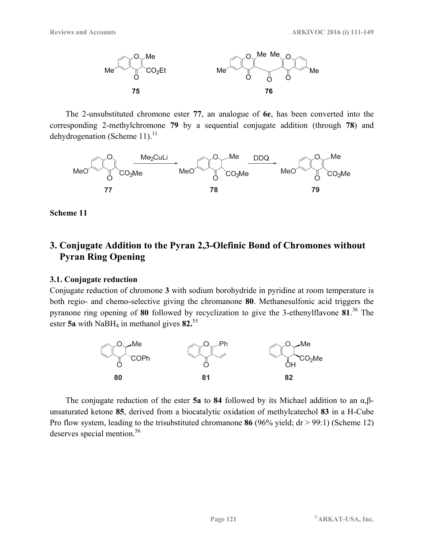

The 2-unsubstituted chromone ester **77**, an analogue of **6e**, has been converted into the corresponding 2-methylchromone **79** by a sequential conjugate addition (through **78**) and dehydrogenation (Scheme 11). $^{11}$ 



## **Scheme 11**

# **3. Conjugate Addition to the Pyran 2,3-Olefinic Bond of Chromones without Pyran Ring Opening**

## **3.1. Conjugate reduction**

Conjugate reduction of chromone **3** with sodium borohydride in pyridine at room temperature is both regio- and chemo-selective giving the chromanone **80**. Methanesulfonic acid triggers the pyranone ring opening of **80** followed by recyclization to give the 3-ethenylflavone **81**. 36 The ester **5a** with NaBH<sub>4</sub> in methanol gives 82.<sup>55</sup>



The conjugate reduction of the ester **5a** to **84** followed by its Michael addition to an α,βunsaturated ketone **85**, derived from a biocatalytic oxidation of methylcatechol **83** in a H-Cube Pro flow system, leading to the trisubstituted chromanone **86** (96% yield; dr > 99:1) (Scheme 12) deserves special mention.<sup>56</sup>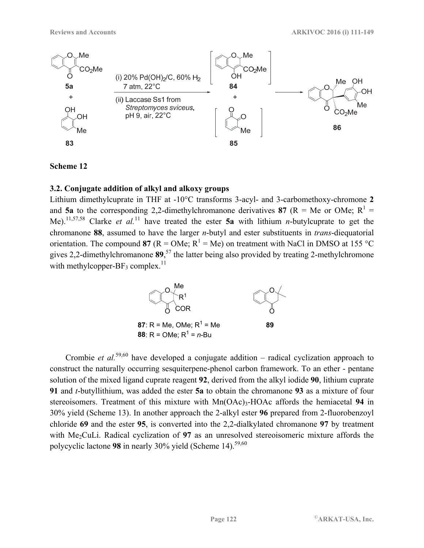

## **3.2. Conjugate addition of alkyl and alkoxy groups**

Lithium dimethylcuprate in THF at -10°C transforms 3-acyl- and 3-carbomethoxy-chromone **2** and **5a** to the corresponding 2,2-dimethylchromanone derivatives 87 ( $R = Me$  or OMe;  $R<sup>1</sup> =$ Me).11,57,58 Clarke *et al.*11 have treated the ester **5a** with lithium *n*-butylcuprate to get the chromanone **88**, assumed to have the larger *n*-butyl and ester substituents in *trans*-diequatorial orientation. The compound 87 ( $R = OMe$ ;  $R<sup>1</sup> = Me$ ) on treatment with NaCl in DMSO at 155 °C gives 2,2-dimethylchromanone **89**, 57 the latter being also provided by treating 2-methylchromone with methylcopper-BF<sub>3</sub> complex.<sup>11</sup>



Crombie *et al.*59,60 have developed a conjugate addition – radical cyclization approach to construct the naturally occurring sesquiterpene-phenol carbon framework. To an ether - pentane solution of the mixed ligand cuprate reagent **92**, derived from the alkyl iodide **90**, lithium cuprate **91** and *t*-butyllithium, was added the ester **5a** to obtain the chromanone **93** as a mixture of four stereoisomers. Treatment of this mixture with Mn(OAc)<sub>3</sub>-HOAc affords the hemiacetal 94 in 30% yield (Scheme 13). In another approach the 2-alkyl ester **96** prepared from 2-fluorobenzoyl chloride **69** and the ester **95**, is converted into the 2,2-dialkylated chromanone **97** by treatment with Me<sub>2</sub>CuLi. Radical cyclization of 97 as an unresolved stereoisomeric mixture affords the polycyclic lactone 98 in nearly 30% yield (Scheme 14).<sup>59,60</sup>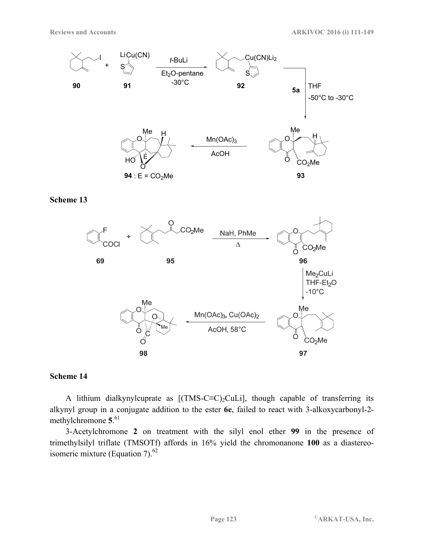



#### **Scheme 14**

A lithium dialkynylcuprate as  $[(TMS-C\equiv C)_2CuLi]$ , though capable of transferring its alkynyl group in a conjugate addition to the ester **6e**, failed to react with 3-alkoxycarbonyl-2 methylchromone **5**. 61

3-Acetylchromone **2** on treatment with the silyl enol ether **99** in the presence of trimethylsilyl triflate (TMSOTf) affords in 16% yield the chromonanone **100** as a diastereoisomeric mixture (Equation 7). $^{62}$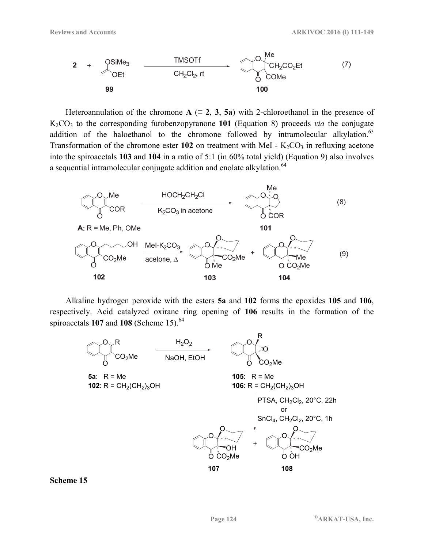

Heteroannulation of the chromone  $A \equiv 2, 3, 5a$ ) with 2-chloroethanol in the presence of K2CO3 to the corresponding furobenzopyranone **101** (Equation 8) proceeds *via* the conjugate addition of the haloethanol to the chromone followed by intramolecular alkylation. $63$ Transformation of the chromone ester  $102$  on treatment with MeI -  $K_2CO_3$  in refluxing acetone into the spiroacetals **103** and **104** in a ratio of 5:1 (in 60% total yield) (Equation 9) also involves a sequential intramolecular conjugate addition and enolate alkylation.<sup>64</sup>



Alkaline hydrogen peroxide with the esters **5a** and **102** forms the epoxides **105** and **106**, respectively. Acid catalyzed oxirane ring opening of **106** results in the formation of the spiroacetals **107** and **108** (Scheme 15).<sup>64</sup>



#### **Scheme 15**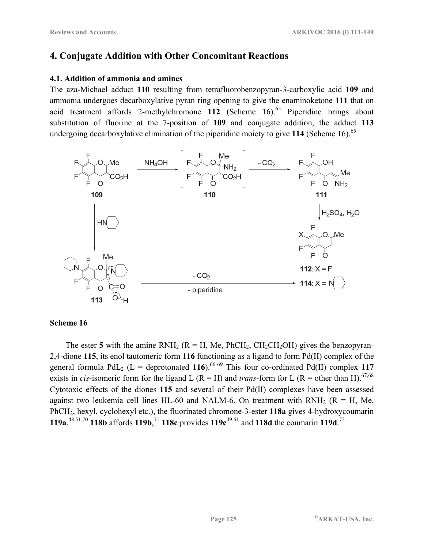# **4. Conjugate Addition with Other Concomitant Reactions**

## **4.1. Addition of ammonia and amines**

The aza-Michael adduct **110** resulting from tetrafluorobenzopyran-3-carboxylic acid **109** and ammonia undergoes decarboxylative pyran ring opening to give the enaminoketone **111** that on acid treatment affords 2-methylchromone 112 (Scheme 16).<sup>65</sup> Piperidine brings about substitution of fluorine at the 7-position of **109** and conjugate addition, the adduct **113** undergoing decarboxylative elimination of the piperidine moiety to give 114 (Scheme 16).<sup>65</sup>



## **Scheme 16**

The ester 5 with the amine  $RNH_2$  ( $R = H$ , Me,  $PhCH_2$ ,  $CH_2CH_2OH$ ) gives the benzopyran-2,4-dione **115**, its enol tautomeric form **116** functioning as a ligand to form Pd(II) complex of the general formula PdL<sub>2</sub> (L = deprotonated 116).<sup>66-69</sup> This four co-ordinated Pd(II) complex 117 exists in *cis*-isomeric form for the ligand L (R = H) and *trans*-form for L (R = other than H).<sup>67,68</sup> Cytotoxic effects of the diones **115** and several of their Pd(II) complexes have been assessed against two leukemia cell lines HL-60 and NALM-6. On treatment with RNH<sub>2</sub> ( $R = H$ , Me, PhCH2, hexyl, cyclohexyl etc.), the fluorinated chromone-3-ester **118a** gives 4-hydroxycoumarin **119a**,  $^{48,51,70}$  **118b** affords **119b**, <sup>71</sup> **118c** provides **119c**<sup>49,51</sup> and **118d** the coumarin **119d**. <sup>72</sup>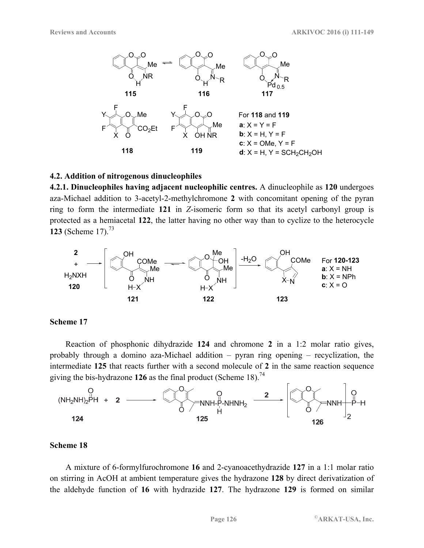

#### **4.2. Addition of nitrogenous dinucleophiles**

**4.2.1. Dinucleophiles having adjacent nucleophilic centres.** A dinucleophile as **120** undergoes aza-Michael addition to 3-acetyl-2-methylchromone **2** with concomitant opening of the pyran ring to form the intermediate **121** in *Z*-isomeric form so that its acetyl carbonyl group is protected as a hemiacetal **122**, the latter having no other way than to cyclize to the heterocycle **123** (Scheme 17).<sup>73</sup>



#### **Scheme 17**

Reaction of phosphonic dihydrazide **124** and chromone **2** in a 1:2 molar ratio gives, probably through a domino aza-Michael addition – pyran ring opening – recyclization, the intermediate **125** that reacts further with a second molecule of **2** in the same reaction sequence giving the bis-hydrazone **126** as the final product (Scheme 18).<sup>74</sup>



## **Scheme 18**

A mixture of 6-formylfurochromone **16** and 2-cyanoacethydrazide **127** in a 1:1 molar ratio on stirring in AcOH at ambient temperature gives the hydrazone **128** by direct derivatization of the aldehyde function of **16** with hydrazide **127**. The hydrazone **129** is formed on similar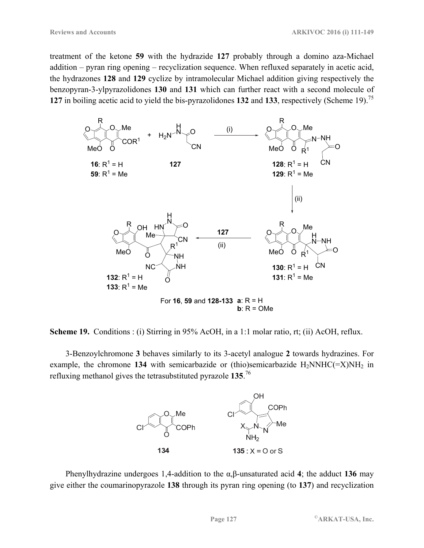treatment of the ketone **59** with the hydrazide **127** probably through a domino aza-Michael addition – pyran ring opening – recyclization sequence. When refluxed separately in acetic acid, the hydrazones **128** and **129** cyclize by intramolecular Michael addition giving respectively the benzopyran-3-ylpyrazolidones **130** and **131** which can further react with a second molecule of **127** in boiling acetic acid to yield the bis-pyrazolidones **132** and **133**, respectively (Scheme 19).75



**Scheme 19.** Conditions : (i) Stirring in 95% AcOH, in a 1:1 molar ratio, rt; (ii) AcOH, reflux.

3-Benzoylchromone **3** behaves similarly to its 3-acetyl analogue **2** towards hydrazines. For example, the chromone 134 with semicarbazide or (thio)semicarbazide  $H_2NNHC (= X)NH_2$  in refluxing methanol gives the tetrasubstituted pyrazole **135**. 76



Phenylhydrazine undergoes 1,4-addition to the α,β-unsaturated acid **4**; the adduct **136** may give either the coumarinopyrazole **138** through its pyran ring opening (to **137**) and recyclization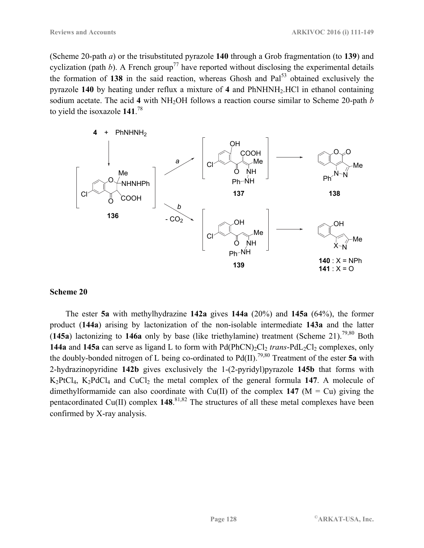(Scheme 20-path *a*) or the trisubstituted pyrazole **140** through a Grob fragmentation (to **139**) and cyclization (path *b*). A French group<sup>77</sup> have reported without disclosing the experimental details the formation of 138 in the said reaction, whereas Ghosh and Pal<sup>53</sup> obtained exclusively the pyrazole **140** by heating under reflux a mixture of **4** and PhNHNH2.HCl in ethanol containing sodium acetate. The acid 4 with NH<sub>2</sub>OH follows a reaction course similar to Scheme 20-path *b* to yield the isoxazole **141**. 78



## **Scheme 20**

The ester **5a** with methylhydrazine **142a** gives **144a** (20%) and **145a** (64%), the former product (**144a**) arising by lactonization of the non-isolable intermediate **143a** and the latter (**145a**) lactonizing to **146a** only by base (like triethylamine) treatment (Scheme 21).79,80 Both **144a** and **145a** can serve as ligand L to form with  $Pd(PhCN)_2Cl_2$  *trans*- $PdL_2Cl_2$  complexes, only the doubly-bonded nitrogen of L being co-ordinated to  $Pd(II)$ <sup>79,80</sup> Treatment of the ester 5a with 2-hydrazinopyridine **142b** gives exclusively the 1-(2-pyridyl)pyrazole **145b** that forms with  $K_2PtCl_4$ ,  $K_2PdCl_4$  and  $CuCl_2$  the metal complex of the general formula 147. A molecule of dimethylformamide can also coordinate with Cu(II) of the complex  $147$  (M = Cu) giving the pentacordinated Cu(II) complex **148**. 81,82 The structures of all these metal complexes have been confirmed by X-ray analysis.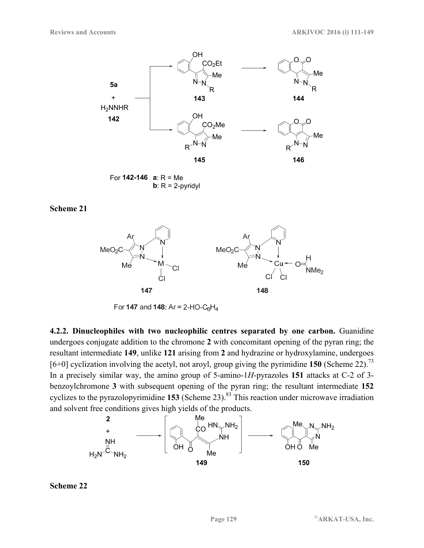

For **142-146 a**: R = Me **b**:  $R = 2$ -pyridyl



For 147 and 148: Ar = 2-HO-C<sub>6</sub>H<sub>4</sub>

**4.2.2. Dinucleophiles with two nucleophilic centres separated by one carbon.** Guanidine undergoes conjugate addition to the chromone **2** with concomitant opening of the pyran ring; the resultant intermediate **149**, unlike **121** arising from **2** and hydrazine or hydroxylamine, undergoes  $[6+0]$  cyclization involving the acetyl, not aroyl, group giving the pyrimidine **150** (Scheme 22).<sup>73</sup> In a precisely similar way, the amino group of 5-amino-1*H*-pyrazoles **151** attacks at C-2 of 3 benzoylchromone **3** with subsequent opening of the pyran ring; the resultant intermediate **152** cyclizes to the pyrazolopyrimidine **153** (Scheme 23).<sup>83</sup> This reaction under microwave irradiation and solvent free conditions gives high yields of the products.



**Scheme 22**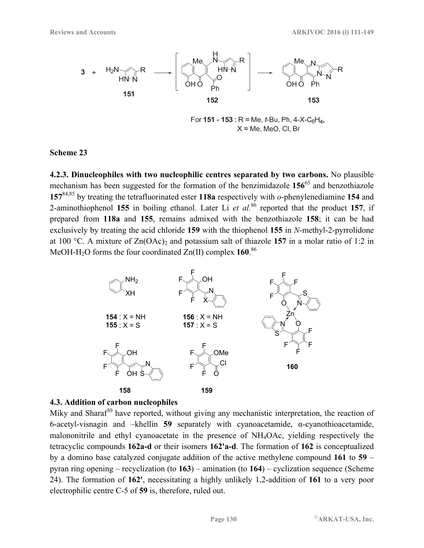

For 151 - 153 : R = Me, t-Bu, Ph, 4-X-C<sub>6</sub>H<sub>4</sub>,  $X = Me$ , MeO, CI, Br

**4.2.3. Dinucleophiles with two nucleophilic centres separated by two carbons.** No plausible mechanism has been suggested for the formation of the benzimidazole **156**65 and benzothiazole **157**84,85 by treating the tetrafluorinated ester **118a** respectively with *o*-phenylenediamine **154** and 2-aminothiophenol **155** in boiling ethanol. Later Li *et al.*86 reported that the product **157**, if prepared from **118a** and **155**, remains admixed with the benzothiazole **158**; it can be had exclusively by treating the acid chloride **159** with the thiophenol **155** in *N*-methyl-2-pyrrolidone at 100 °C. A mixture of  $Zn(OAc)$  and potassium salt of thiazole 157 in a molar ratio of 1:2 in MeOH-H2O forms the four coordinated Zn(II) complex **160**. 86



## **4.3. Addition of carbon nucleophiles**

Miky and Sharaf $30$  have reported, without giving any mechanistic interpretation, the reaction of 6-acetyl-visnagin and –khellin **59** separately with cyanoacetamide, α-cyanothioacetamide, malononitrile and ethyl cyanoacetate in the presence of NH4OAc, yielding respectively the tetracyclic compounds **162a-d** or their isomers **162'a-d**. The formation of **162** is conceptualized by a domino base catalyzed conjugate addition of the active methylene compound **161** to **59** – pyran ring opening – recyclization (to **163**) – amination (to **164**) – cyclization sequence (Scheme 24). The formation of **162'**, necessitating a highly unlikely 1,2-addition of **161** to a very poor electrophilic centre C-5 of **59** is, therefore, ruled out.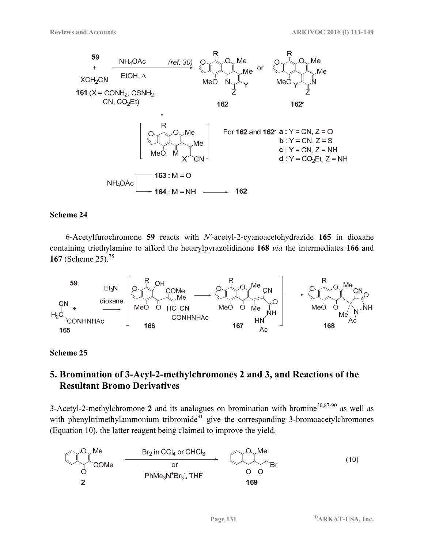

6-Acetylfurochromone **59** reacts with *N'*-acetyl-2-cyanoacetohydrazide **165** in dioxane containing triethylamine to afford the hetarylpyrazolidinone **168** *via* the intermediates **166** and **167** (Scheme 25).75



## **Scheme 25**

# **5. Bromination of 3-Acyl-2-methylchromones 2 and 3, and Reactions of the Resultant Bromo Derivatives**

3-Acetyl-2-methylchromone 2 and its analogues on bromination with bromine<sup>30,87-90</sup> as well as with phenyltrimethylammonium tribromide<sup>91</sup> give the corresponding 3-bromoacetylchromones (Equation 10), the latter reagent being claimed to improve the yield.

$$
\begin{array}{|c|c|c|}\n\hline\n\text{O} & \text{Me} \\
\hline\n\text{COMe} & \text{Br}_2 \text{ in } \text{CCl}_4 \text{ or } \text{CHCl}_3 \\
\hline\n\text{or} \\
\hline\n\text{PhMe}_3\text{N}^+ \text{Br}_3^-, \text{THF} \\
\hline\n\text{169}\n\end{array}
$$
\n(10)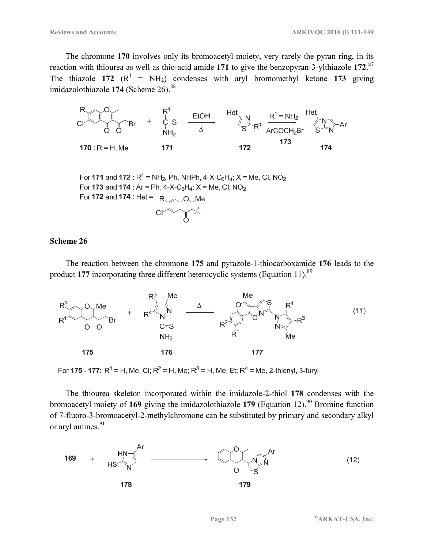The chromone **170** involves only its bromoacetyl moiety, very rarely the pyran ring, in its reaction with thiourea as well as thio-acid amide **171** to give the benzopyran-3-ylthiazole **172**. 87 The thiazole 172  $(R^1 = NH_2)$  condenses with aryl bromomethyl ketone 173 giving imidazolothiazole 174 (Scheme 26).<sup>88</sup>



For 171 and 172 :  $R^1$  = NH<sub>2</sub>, Ph, NHPh, 4-X-C<sub>6</sub>H<sub>4</sub>; X = Me, CI, NO<sub>2</sub> For 173 and 174 : Ar = Ph, 4-X-C<sub>6</sub>H<sub>4</sub>; X = Me, Cl, NO<sub>2</sub> For  $172$  and  $174$  : Het =  $R \sim 0 \, \text{M}$ 

#### **Scheme 26**

The reaction between the chromone **175** and pyrazole-1-thiocarboxamide **176** leads to the product 177 incorporating three different heterocyclic systems (Equation 11).<sup>89</sup>



For 175 - 177:  $R^1$  = H, Me, CI;  $R^2$  = H, Me;  $R^3$  = H, Me, Et;  $R^4$  = Me, 2-thienyl, 3-furyl

The thiourea skeleton incorporated within the imidazole-2-thiol **178** condenses with the bromoacetyl moiety of 169 giving the imidazolothiazole 179 (Equation 12).<sup>90</sup> Bromine function of 7-fluoro-3-bromoacetyl-2-methylchromone can be substituted by primary and secondary alkyl or aryl amines.<sup>91</sup>

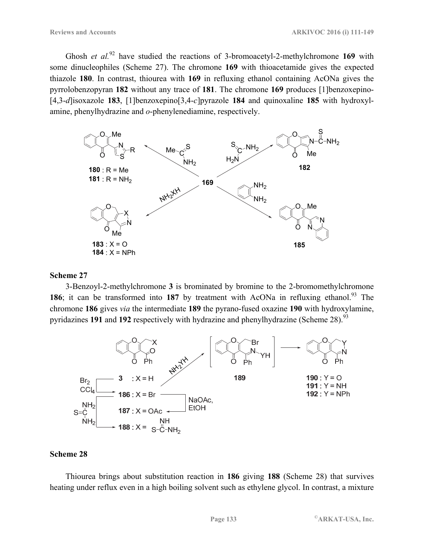Ghosh *et al.*92 have studied the reactions of 3-bromoacetyl-2-methylchromone **169** with some dinucleophiles (Scheme 27). The chromone **169** with thioacetamide gives the expected thiazole **180**. In contrast, thiourea with **169** in refluxing ethanol containing AcONa gives the pyrrolobenzopyran **182** without any trace of **181**. The chromone **169** produces [1]benzoxepino- [4,3-*d*]isoxazole **183**, [1]benzoxepino[3,4-*c*]pyrazole **184** and quinoxaline **185** with hydroxylamine, phenylhydrazine and *o*-phenylenediamine, respectively.



#### **Scheme 27**

3-Benzoyl-2-methylchromone **3** is brominated by bromine to the 2-bromomethylchromone **186**; it can be transformed into 187 by treatment with AcONa in refluxing ethanol.<sup>93</sup> The chromone **186** gives *via* the intermediate **189** the pyrano-fused oxazine **190** with hydroxylamine, pyridazines **191** and **192** respectively with hydrazine and phenylhydrazine (Scheme 28).<sup>93</sup>



#### **Scheme 28**

Thiourea brings about substitution reaction in **186** giving **188** (Scheme 28) that survives heating under reflux even in a high boiling solvent such as ethylene glycol. In contrast, a mixture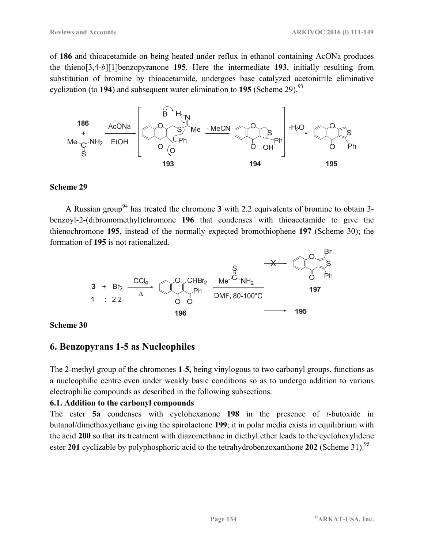of **186** and thioacetamide on being heated under reflux in ethanol containing AcONa produces the thieno[3,4-*b*][1]benzopyranone **195**. Here the intermediate **193**, initially resulting from substitution of bromine by thioacetamide, undergoes base catalyzed acetonitrile eliminative cyclization (to **194**) and subsequent water elimination to **195** (Scheme 29).<sup>93</sup>



## **Scheme 29**

A Russian group<sup>94</sup> has treated the chromone **3** with 2.2 equivalents of bromine to obtain 3benzoyl-2-(dibromomethyl)chromone **196** that condenses with thioacetamide to give the thienochromone **195**, instead of the normally expected bromothiophene **197** (Scheme 30); the formation of **195** is not rationalized.



## **Scheme 30**

## **6. Benzopyrans 1-5 as Nucleophiles**

The 2-methyl group of the chromones **1**-**5,** being vinylogous to two carbonyl groups, functions as a nucleophilic centre even under weakly basic conditions so as to undergo addition to various electrophilic compounds as described in the following subsections.

## **6.1. Addition to the carbonyl compounds**

The ester **5a** condenses with cyclohexanone **198** in the presence of *t*-butoxide in butanol/dimethoxyethane giving the spirolactone **199**; it in polar media exists in equilibrium with the acid **200** so that its treatment with diazomethane in diethyl ether leads to the cyclohexylidene ester 201 cyclizable by polyphosphoric acid to the tetrahydrobenzoxanthone 202 (Scheme 31).<sup>95</sup>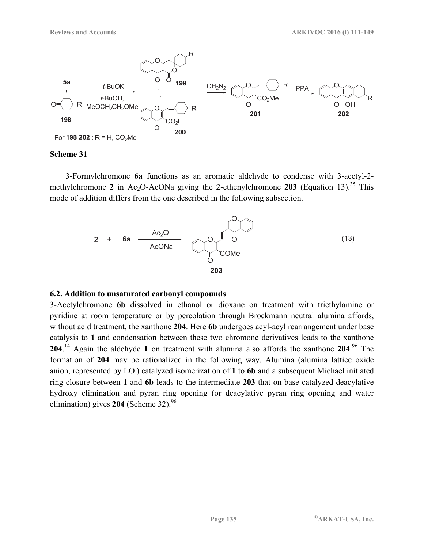

3-Formylchromone **6a** functions as an aromatic aldehyde to condense with 3-acetyl-2 methylchromone 2 in Ac<sub>2</sub>O-AcONa giving the 2-ethenylchromone 203 (Equation 13).<sup>35</sup> This mode of addition differs from the one described in the following subsection.



#### **6.2. Addition to unsaturated carbonyl compounds**

3-Acetylchromone **6b** dissolved in ethanol or dioxane on treatment with triethylamine or pyridine at room temperature or by percolation through Brockmann neutral alumina affords, without acid treatment, the xanthone **204**. Here **6b** undergoes acyl-acyl rearrangement under base catalysis to **1** and condensation between these two chromone derivatives leads to the xanthone **204**. 14 Again the aldehyde **1** on treatment with alumina also affords the xanthone **204**. 96 The formation of **204** may be rationalized in the following way. Alumina (alumina lattice oxide anion, represented by LO  $)$  catalyzed isomerization of 1 to 6b and a subsequent Michael initiated ring closure between **1** and **6b** leads to the intermediate **203** that on base catalyzed deacylative hydroxy elimination and pyran ring opening (or deacylative pyran ring opening and water elimination) gives  $204$  (Scheme 32).<sup>96</sup>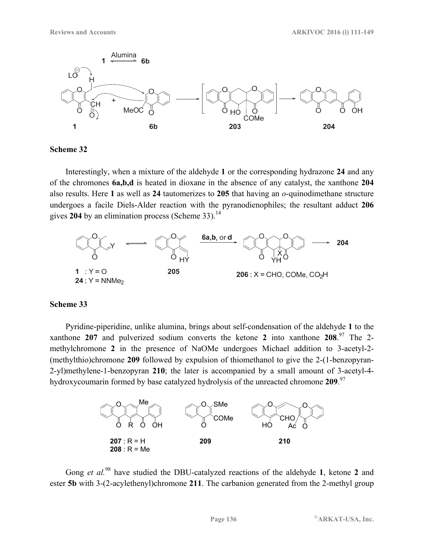

Interestingly, when a mixture of the aldehyde **1** or the corresponding hydrazone **24** and any of the chromones **6a,b,d** is heated in dioxane in the absence of any catalyst, the xanthone **204** also results. Here **1** as well as **24** tautomerizes to **205** that having an *o*-quinodimethane structure undergoes a facile Diels-Alder reaction with the pyranodienophiles; the resultant adduct **206** gives 204 by an elimination process (Scheme 33).<sup>14</sup>



## **Scheme 33**

Pyridine-piperidine, unlike alumina, brings about self-condensation of the aldehyde **1** to the xanthone **207** and pulverized sodium converts the ketone **2** into xanthone **208**. 97 The 2 methylchromone **2** in the presence of NaOMe undergoes Michael addition to 3-acetyl-2- (methylthio)chromone **209** followed by expulsion of thiomethanol to give the 2-(1-benzopyran-2-yl)methylene-1-benzopyran **210**; the later is accompanied by a small amount of 3-acetyl-4 hydroxycoumarin formed by base catalyzed hydrolysis of the unreacted chromone **209**. 97



Gong *et al.*98 have studied the DBU-catalyzed reactions of the aldehyde **1**, ketone **2** and ester **5b** with 3-(2-acylethenyl)chromone **211**. The carbanion generated from the 2-methyl group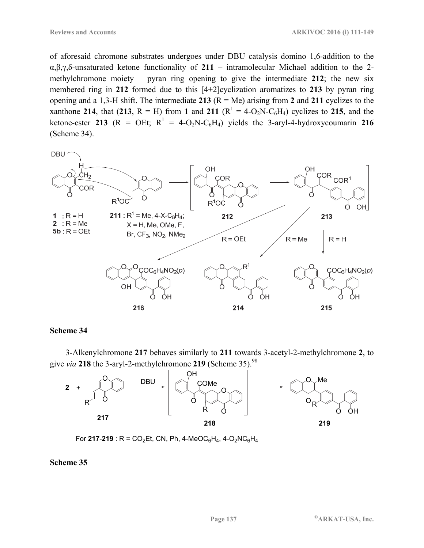of aforesaid chromone substrates undergoes under DBU catalysis domino 1,6-addition to the α,β,γ,δ-unsaturated ketone functionality of **211** – intramolecular Michael addition to the 2 methylchromone moiety – pyran ring opening to give the intermediate **212**; the new six membered ring in **212** formed due to this [4+2]cyclization aromatizes to **213** by pyran ring opening and a 1,3-H shift. The intermediate **213** (R = Me) arising from **2** and **211** cyclizes to the xanthone 214, that (213, R = H) from 1 and 211 ( $R^1 = 4-O_2N-C_6H_4$ ) cyclizes to 215, and the ketone-ester 213 ( $R = OEt$ ;  $R<sup>1</sup> = 4-O<sub>2</sub>N-C<sub>6</sub>H<sub>4</sub>$ ) yields the 3-aryl-4-hydroxycoumarin 216 (Scheme 34).



#### **Scheme 34**

3-Alkenylchromone **217** behaves similarly to **211** towards 3-acetyl-2-methylchromone **2**, to give *via* **218** the 3-aryl-2-methylchromone **219** (Scheme 35).98



For **217-219** : R =  $CO_2$ Et, CN, Ph, 4-MeOC<sub>6</sub>H<sub>4</sub>, 4-O<sub>2</sub>NC<sub>6</sub>H<sub>4</sub>

#### **Scheme 35**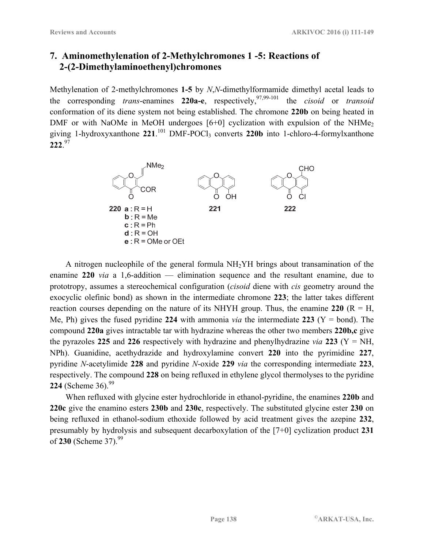# **7. Aminomethylenation of 2-Methylchromones 1 -5: Reactions of 2-(2-Dimethylaminoethenyl)chromones**

Methylenation of 2-methylchromones **1-5** by *N*,*N*-dimethylformamide dimethyl acetal leads to the corresponding *trans*-enamines 220a-e, respectively,<sup>97,99-101</sup> the *cisoid* or *transoid* conformation of its diene system not being established. The chromone **220b** on being heated in DMF or with NaOMe in MeOH undergoes  $[6+0]$  cyclization with expulsion of the NHMe<sub>2</sub> giving 1-hydroxyxanthone 221.<sup>101</sup> DMF-POCl<sub>3</sub> converts 220b into 1-chloro-4-formylxanthone **222**. 97



A nitrogen nucleophile of the general formula NH2YH brings about transamination of the enamine **220** *via* a 1,6-addition — elimination sequence and the resultant enamine, due to prototropy, assumes a stereochemical configuration (*cisoid* diene with *cis* geometry around the exocyclic olefinic bond) as shown in the intermediate chromone **223**; the latter takes different reaction courses depending on the nature of its NHYH group. Thus, the enamine  $220 \text{ (R = H,)}$ Me, Ph) gives the fused pyridine 224 with ammonia *via* the intermediate 223 ( $Y = bond$ ). The compound **220a** gives intractable tar with hydrazine whereas the other two members **220b,c** give the pyrazoles 225 and 226 respectively with hydrazine and phenylhydrazine *via* 223 ( $Y = NH$ , NPh). Guanidine, acethydrazide and hydroxylamine convert **220** into the pyrimidine **227**, pyridine *N*-acetylimide **228** and pyridine *N*-oxide **229** *via* the corresponding intermediate **223**, respectively. The compound **228** on being refluxed in ethylene glycol thermolyses to the pyridine **224** (Scheme 36).<sup>99</sup>

When refluxed with glycine ester hydrochloride in ethanol-pyridine, the enamines **220b** and **220c** give the enamino esters **230b** and **230c**, respectively. The substituted glycine ester **230** on being refluxed in ethanol-sodium ethoxide followed by acid treatment gives the azepine **232**, presumably by hydrolysis and subsequent decarboxylation of the [7+0] cyclization product **231** of **230** (Scheme 37).99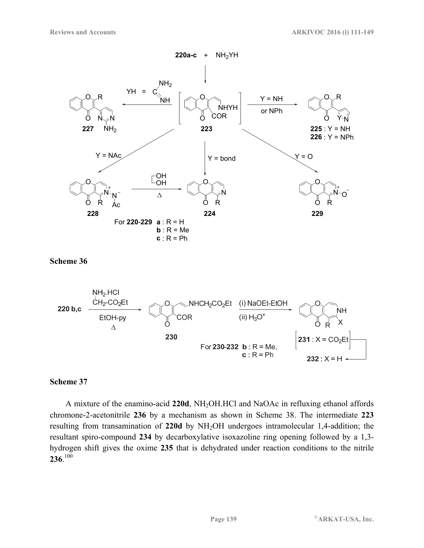



#### **Scheme 37**

A mixture of the enamino-acid **220d**, NH2OH.HCl and NaOAc in refluxing ethanol affords chromone-2-acetonitrile **236** by a mechanism as shown in Scheme 38. The intermediate **223** resulting from transamination of **220d** by NH2OH undergoes intramolecular 1,4-addition; the resultant spiro-compound **234** by decarboxylative isoxazoline ring opening followed by a 1,3 hydrogen shift gives the oxime **235** that is dehydrated under reaction conditions to the nitrile **236**.<sup>100</sup>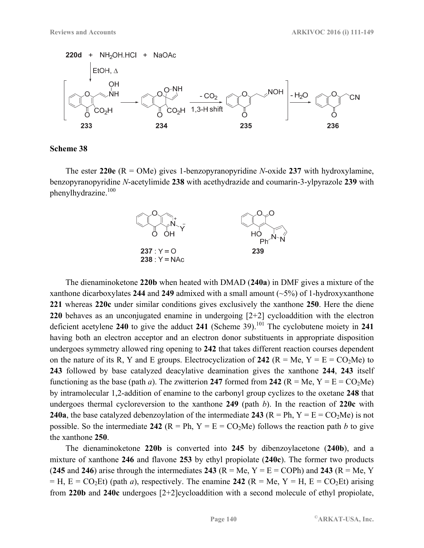

The ester **220e** (R = OMe) gives 1-benzopyranopyridine *N*-oxide **237** with hydroxylamine, benzopyranopyridine *N*-acetylimide **238** with acethydrazide and coumarin-3-ylpyrazole **239** with phenylhydrazine.100



The dienaminoketone **220b** when heated with DMAD (**240a**) in DMF gives a mixture of the xanthone dicarboxylates **244** and **249** admixed with a small amount (~5%) of 1-hydroxyxanthone **221** whereas **220c** under similar conditions gives exclusively the xanthone **250**. Here the diene **220** behaves as an unconjugated enamine in undergoing [2+2] cycloaddition with the electron deficient acetylene **240** to give the adduct **241** (Scheme 39).101 The cyclobutene moiety in **241** having both an electron acceptor and an electron donor substituents in appropriate disposition undergoes symmetry allowed ring opening to **242** that takes different reaction courses dependent on the nature of its R, Y and E groups. Electrocyclization of 242 ( $R = Me$ ,  $Y = E = CO<sub>2</sub>Me$ ) to **243** followed by base catalyzed deacylative deamination gives the xanthone **244**, **243** itself functioning as the base (path *a*). The zwitterion 247 formed from 242 ( $R = Me$ ,  $Y = E = CO<sub>2</sub>Me$ ) by intramolecular 1,2-addition of enamine to the carbonyl group cyclizes to the oxetane **248** that undergoes thermal cycloreversion to the xanthone **249** (path *b*). In the reaction of **220c** with **240a**, the base catalyzed debenzoylation of the intermediate **243** ( $R = Ph$ ,  $Y = E = CO<sub>2</sub>Me$ ) is not possible. So the intermediate 242 ( $R = Ph$ ,  $Y = E = CO<sub>2</sub>Me$ ) follows the reaction path *b* to give the xanthone **250**.

The dienaminoketone **220b** is converted into **245** by dibenzoylacetone (**240b**), and a mixture of xanthone **246** and flavone **253** by ethyl propiolate (**240c**). The former two products (245 and 246) arise through the intermediates 243 ( $R = Me$ ,  $Y = E = COPh$ ) and 243 ( $R = Me$ ,  $Y = Hh$ )  $=$  H,  $E = CO<sub>2</sub>Et$ ) (path *a*), respectively. The enamine 242 (R = Me, Y = H, E = CO<sub>2</sub>Et) arising from **220b** and **240c** undergoes [2+2]cycloaddition with a second molecule of ethyl propiolate,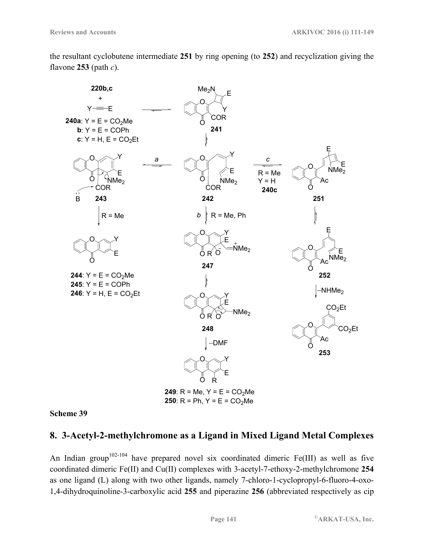the resultant cyclobutene intermediate **251** by ring opening (to **252**) and recyclization giving the flavone **253** (path *c*).



**Scheme 39** 

## **8. 3-Acetyl-2-methylchromone as a Ligand in Mixed Ligand Metal Complexes**

An Indian group<sup>102-104</sup> have prepared novel six coordinated dimeric Fe(III) as well as five coordinated dimeric Fe(II) and Cu(II) complexes with 3-acetyl-7-ethoxy-2-methylchromone **254** as one ligand (L) along with two other ligands, namely 7-chloro-1-cyclopropyl-6-fluoro-4-oxo-1,4-dihydroquinoline-3-carboxylic acid **255** and piperazine **256** (abbreviated respectively as cip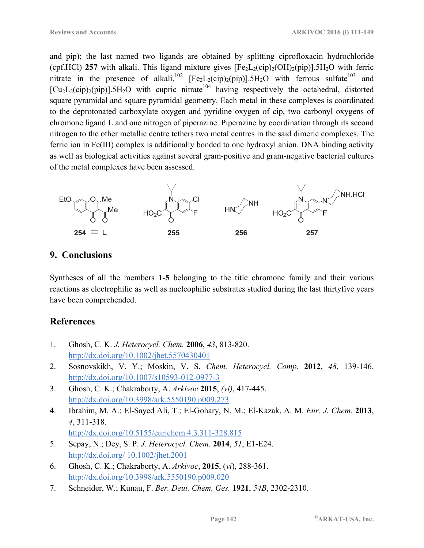and pip); the last named two ligands are obtained by splitting ciprofloxacin hydrochloride (cpf.HCl) 257 with alkali. This ligand mixture gives  $[Fe<sub>2</sub>L<sub>2</sub>(cip)<sub>2</sub>(OH)<sub>2</sub>(pip)].5H<sub>2</sub>O$  with ferric nitrate in the presence of alkali,<sup>102</sup> [Fe<sub>2</sub>L<sub>2</sub>(cip)<sub>2</sub>(pip)].5H<sub>2</sub>O with ferrous sulfate<sup>103</sup> and  $[Cu<sub>2</sub>L<sub>2</sub>(cip)<sub>2</sub>(pip)].5H<sub>2</sub>O$  with cupric nitrate<sup>104</sup> having respectively the octahedral, distorted square pyramidal and square pyramidal geometry. Each metal in these complexes is coordinated to the deprotonated carboxylate oxygen and pyridine oxygen of cip, two carbonyl oxygens of chromone ligand L and one nitrogen of piperazine. Piperazine by coordination through its second nitrogen to the other metallic centre tethers two metal centres in the said dimeric complexes. The ferric ion in Fe(III) complex is additionally bonded to one hydroxyl anion. DNA binding activity as well as biological activities against several gram-positive and gram-negative bacterial cultures of the metal complexes have been assessed.



# **9. Conclusions**

Syntheses of all the members **1**-**5** belonging to the title chromone family and their various reactions as electrophilic as well as nucleophilic substrates studied during the last thirtyfive years have been comprehended.

# **References**

- 1. Ghosh, C. K. *J. Heterocycl. Chem.* **2006**, *43*, 813-820. http://dx.doi.org/10.1002/jhet.5570430401
- 2. Sosnovskikh, V. Y.; Moskin, V. S. *Chem. Heterocycl. Comp.* **2012**, *48*, 139-146. http://dx.doi.org/10.1007/s10593-012-0977-3
- 3. Ghosh, C. K.; Chakraborty, A. *Arkivoc* **2015**, *(vi)*, 417-445. http://dx.doi.org/10.3998/ark.5550190.p009.273
- 4. Ibrahim, M. A.; El-Sayed Ali, T.; El-Gohary, N. M.; El-Kazak, A. M. *Eur. J. Chem.* **2013**, *4*, 311-318. http://dx.doi.org/10.5155/eurjchem.4.3.311-328.815
- 5. Sepay, N.; Dey, S. P. *J. Heterocycl. Chem.* **2014**, *51*, E1-E24. http://dx.doi.org/ 10.1002/jhet.2001
- 6. Ghosh, C. K.; Chakraborty, A. *Arkivoc*, **2015**, (*vi*), 288-361. http://dx.doi.org/10.3998/ark.5550190.p009.020
- 7. Schneider, W.; Kunau, F. *Ber. Deut. Chem. Ges.* **1921**, *54B*, 2302-2310.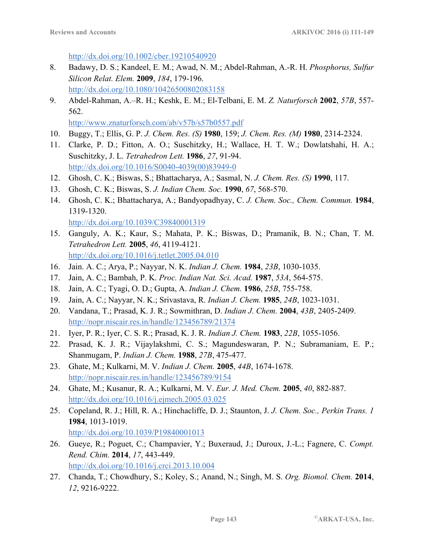http://dx.doi.org/10.1002/cber.19210540920

- 8. Badawy, D. S.; Kandeel, E. M.; Awad, N. M.; Abdel-Rahman, A.-R. H. *Phosphorus, Sulfur Silicon Relat. Elem.* **2009**, *184*, 179-196. http://dx.doi.org/10.1080/10426500802083158
- 9. Abdel-Rahman, A.–R. H.; Keshk, E. M.; El-Telbani, E. M. *Z. Naturforsch* **2002**, *57B*, 557- 562.

http://www.znaturforsch.com/ab/v57b/s57b0557.pdf

- 10. Buggy, T.; Ellis, G. P. *J. Chem. Res. (S)* **1980**, 159; *J. Chem. Res. (M)* **1980**, 2314-2324.
- 11. Clarke, P. D.; Fitton, A. O.; Suschitzky, H.; Wallace, H. T. W.; Dowlatshahi, H. A.; Suschitzky, J. L. *Tetrahedron Lett.* **1986**, *27*, 91-94. http://dx.doi.org/10.1016/S0040-4039(00)83949-0
- 12. Ghosh, C. K.; Biswas, S.; Bhattacharya, A.; Sasmal, N. *J. Chem. Res. (S)* **1990**, 117.
- 13. Ghosh, C. K.; Biswas, S. *J. Indian Chem. Soc.* **1990**, *67*, 568-570.
- 14. Ghosh, C. K.; Bhattacharya, A.; Bandyopadhyay, C. *J. Chem. Soc., Chem. Commun.* **1984**, 1319-1320. http://dx.doi.org/10.1039/C39840001319
- 15. Ganguly, A. K.; Kaur, S.; Mahata, P. K.; Biswas, D.; Pramanik, B. N.; Chan, T. M. *Tetrahedron Lett.* **2005**, *46*, 4119-4121. http://dx.doi.org/10.1016/j.tetlet.2005.04.010
- 16. Jain. A. C.; Arya, P.; Nayyar, N. K. *Indian J. Chem.* **1984**, *23B*, 1030-1035.
- 17. Jain, A. C.; Bambah, P. K. *Proc. Indian Nat. Sci. Acad.* **1987**, *53A*, 564-575.
- 18. Jain, A. C.; Tyagi, O. D.; Gupta, A. *Indian J. Chem.* **1986**, *25B*, 755-758.
- 19. Jain, A. C.; Nayyar, N. K.; Srivastava, R. *Indian J. Chem.* **1985**, *24B*, 1023-1031.
- 20. Vandana, T.; Prasad, K. J. R.; Sowmithran, D. *Indian J. Chem.* **2004**, *43B*, 2405-2409. http://nopr.niscair.res.in/handle/123456789/21374
- 21. Iyer, P. R.; Iyer, C. S. R.; Prasad, K. J. R. *Indian J. Chem.* **1983**, *22B*, 1055-1056.
- 22. Prasad, K. J. R.; Vijaylakshmi, C. S.; Magundeswaran, P. N.; Subramaniam, E. P.; Shanmugam, P. *Indian J. Chem.* **1988**, *27B*, 475-477.
- 23. Ghate, M.; Kulkarni, M. V. *Indian J. Chem.* **2005**, *44B*, 1674-1678. http://nopr.niscair.res.in/handle/123456789/9154
- 24. Ghate, M.; Kusanur, R. A.; Kulkarni, M. V. *Eur. J. Med. Chem.* **2005**, *40*, 882-887. http://dx.doi.org/10.1016/j.ejmech.2005.03.025
- 25. Copeland, R. J.; Hill, R. A.; Hinchacliffe, D. J.; Staunton, J. *J. Chem. Soc., Perkin Trans. 1* **1984**, 1013-1019. http://dx.doi.org/10.1039/P19840001013
- 26. Gueye, R.; Poguet, C.; Champavier, Y.; Buxeraud, J.; Duroux, J.-L.; Fagnere, C. *Compt. Rend. Chim.* **2014**, *17*, 443-449. http://dx.doi.org/10.1016/j.crci.2013.10.004
- 27. Chanda, T.; Chowdhury, S.; Koley, S.; Anand, N.; Singh, M. S. *Org. Biomol. Chem.* **2014**, *12*, 9216-9222.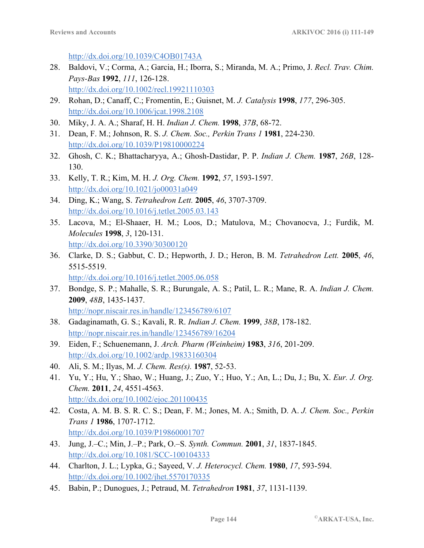http://dx.doi.org/10.1039/C4OB01743A

- 28. Baldovi, V.; Corma, A.; Garcia, H.; Iborra, S.; Miranda, M. A.; Primo, J. *Recl. Trav. Chim. Pays-Bas* **1992**, *111*, 126-128. http://dx.doi.org/10.1002/recl.19921110303
- 29. Rohan, D.; Canaff, C.; Fromentin, E.; Guisnet, M. *J. Catalysis* **1998**, *177*, 296-305. http://dx.doi.org/10.1006/jcat.1998.2108
- 30. Miky, J. A. A.; Sharaf, H. H. *Indian J. Chem.* **1998**, *37B*, 68-72.
- 31. Dean, F. M.; Johnson, R. S. *J. Chem. Soc., Perkin Trans 1* **1981**, 224-230. http://dx.doi.org/10.1039/P19810000224
- 32. Ghosh, C. K.; Bhattacharyya, A.; Ghosh-Dastidar, P. P. *Indian J. Chem.* **1987**, *26B*, 128- 130.
- 33. Kelly, T. R.; Kim, M. H. *J. Org. Chem.* **1992**, *57*, 1593-1597. http://dx.doi.org/10.1021/jo00031a049
- 34. Ding, K.; Wang, S. *Tetrahedron Lett.* **2005**, *46*, 3707-3709. http://dx.doi.org/10.1016/j.tetlet.2005.03.143
- 35. Lacova, M.; El-Shaaer, H. M.; Loos, D.; Matulova, M.; Chovanocva, J.; Furdik, M. *Molecules* **1998**, *3*, 120-131. http://dx.doi.org/10.3390/30300120
- 36. Clarke, D. S.; Gabbut, C. D.; Hepworth, J. D.; Heron, B. M. *Tetrahedron Lett.* **2005**, *46*, 5515-5519.

http://dx.doi.org/10.1016/j.tetlet.2005.06.058

- 37. Bondge, S. P.; Mahalle, S. R.; Burungale, A. S.; Patil, L. R.; Mane, R. A. *Indian J. Chem.* **2009**, *48B*, 1435-1437. http://nopr.niscair.res.in/handle/123456789/6107
- 38. Gadaginamath, G. S.; Kavali, R. R. *Indian J. Chem.* **1999**, *38B*, 178-182. http://nopr.niscair.res.in/handle/123456789/16204
- 39. Eiden, F.; Schuenemann, J. *Arch. Pharm (Weinheim)* **1983**, *316*, 201-209. http://dx.doi.org/10.1002/ardp.19833160304
- 40. Ali, S. M.; Ilyas, M. *J. Chem. Res(s).* **1987**, 52-53.
- 41. Yu, Y.; Hu, Y.; Shao, W.; Huang, J.; Zuo, Y.; Huo, Y.; An, L.; Du, J.; Bu, X. *Eur. J. Org. Chem.* **2011**, *24*, 4551-4563. http://dx.doi.org/10.1002/ejoc.201100435
- 42. Costa, A. M. B. S. R. C. S.; Dean, F. M.; Jones, M. A.; Smith, D. A. *J. Chem. Soc., Perkin Trans 1* **1986**, 1707-1712. http://dx.doi.org/10.1039/P19860001707
- 43. Jung, J.–C.; Min, J.–P.; Park, O.–S. *Synth. Commun.* **2001**, *31*, 1837-1845. http://dx.doi.org/10.1081/SCC-100104333
- 44. Charlton, J. L.; Lypka, G.; Sayeed, V. *J. Heterocycl. Chem.* **1980**, *17*, 593-594. http://dx.doi.org/10.1002/jhet.5570170335
- 45. Babin, P.; Dunogues, J.; Petraud, M. *Tetrahedron* **1981**, *37*, 1131-1139.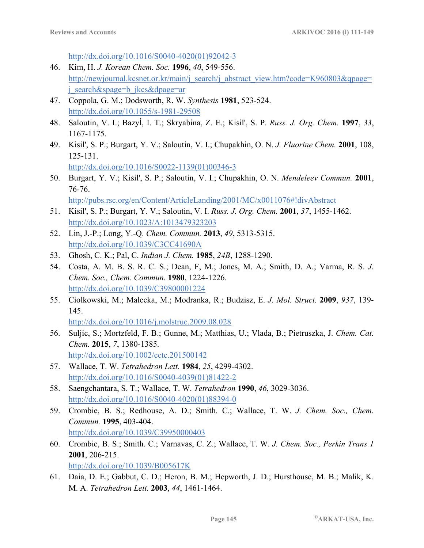http://dx.doi.org/10.1016/S0040-4020(01)92042-3

- 46. Kim, H. *J. Korean Chem. Soc.* **1996**, *40*, 549-556. http://newjournal.kcsnet.or.kr/main/j\_search/j\_abstract\_view.htm?code=K960803&qpage= j\_search&spage=b\_jkcs&dpage=ar
- 47. Coppola, G. M.; Dodsworth, R. W. *Synthesis* **1981**, 523-524. http://dx.doi.org/10.1055/s-1981-29508
- 48. Saloutin, V. I.; Bazyĺ, I. T.; Skryabina, Z. E.; Kisil', S. P. *Russ. J. Org. Chem.* **1997**, *33*, 1167-1175.
- 49. Kisil', S. P.; Burgart, Y. V.; Saloutin, V. I.; Chupakhin, O. N. *J. Fluorine Chem.* **2001**, 108, 125-131. http://dx.doi.org/10.1016/S0022-1139(01)00346-3

50. Burgart, Y. V.; Kisil', S. P.; Saloutin, V. I.; Chupakhin, O. N. *Mendeleev Commun.* **2001**, 76-76.

http://pubs.rsc.org/en/Content/ArticleLanding/2001/MC/x0011076#!divAbstract

- 51. Kisil', S. P.; Burgart, Y. V.; Saloutin, V. I. *Russ. J. Org. Chem.* **2001**, *37*, 1455-1462. http://dx.doi.org/10.1023/A:1013479323203
- 52. Lin, J.-P.; Long, Y.-Q. *Chem. Commun.* **2013**, *49*, 5313-5315. http://dx.doi.org/10.1039/C3CC41690A
- 53. Ghosh, C. K.; Pal, C. *Indian J. Chem.* **1985**, *24B*, 1288-1290.
- 54. Costa, A. M. B. S. R. C. S.; Dean, F, M.; Jones, M. A.; Smith, D. A.; Varma, R. S. *J. Chem. Soc., Chem. Commun.* **1980**, 1224-1226. http://dx.doi.org/10.1039/C39800001224
- 55. Ciolkowski, M.; Malecka, M.; Modranka, R.; Budzisz, E. *J. Mol. Struct.* **2009**, *937*, 139- 145.

http://dx.doi.org/10.1016/j.molstruc.2009.08.028

- 56. Suljic, S.; Mortzfeld, F. B.; Gunne, M.; Matthias, U.; Vlada, B.; Pietruszka, J. *Chem. Cat. Chem.* **2015**, *7*, 1380-1385. http://dx.doi.org/10.1002/cctc.201500142
- 57. Wallace, T. W. *Tetrahedron Lett.* **1984**, *25*, 4299-4302. http://dx.doi.org/10.1016/S0040-4039(01)81422-2
- 58. Saengchantara, S. T.; Wallace, T. W. *Tetrahedron* **1990**, *46*, 3029-3036. http://dx.doi.org/10.1016/S0040-4020(01)88394-0
- 59. Crombie, B. S.; Redhouse, A. D.; Smith. C.; Wallace, T. W. *J. Chem. Soc., Chem. Commun.* **1995**, 403-404. http://dx.doi.org/10.1039/C39950000403
- 60. Crombie, B. S.; Smith. C.; Varnavas, C. Z.; Wallace, T. W. *J. Chem. Soc., Perkin Trans 1* **2001**, 206-215. http://dx.doi.org/10.1039/B005617K
- 61. Daia, D. E.; Gabbut, C. D.; Heron, B. M.; Hepworth, J. D.; Hursthouse, M. B.; Malik, K. M. A. *Tetrahedron Lett.* **2003**, *44*, 1461-1464.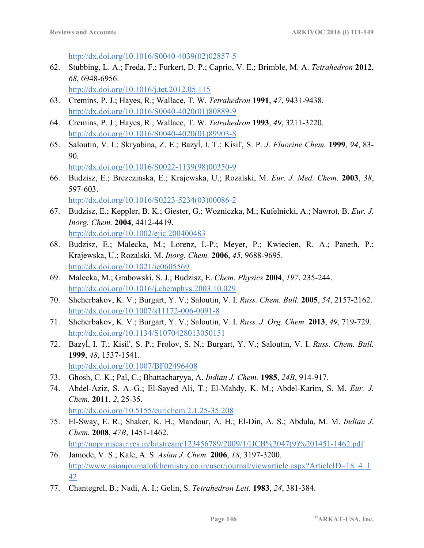http://dx.doi.org/10.1016/S0040-4039(02)02857-5

62. Stubbing, L. A.; Freda, F.; Furkert, D. P.; Caprio, V. E.; Brimble, M. A. *Tetrahedron* **2012**, *68*, 6948-6956.

http://dx.doi.org/10.1016/j.tet.2012.05.115

- 63. Cremins, P. J.; Hayes, R.; Wallace, T. W. *Tetrahedron* **1991**, *47*, 9431-9438. http://dx.doi.org/10.1016/S0040-4020(01)80889-9
- 64. Cremins, P. J.; Hayes, R.; Wallace, T. W. *Tetrahedron* **1993**, *49*, 3211-3220. http://dx.doi.org/10.1016/S0040-4020(01)89903-8
- 65. Saloutin, V. I.; Skryabina, Z. E.; Bazyĺ, I. T.; Kisil', S. P. *J. Fluorine Chem.* **1999**, *94*, 83- 90.

http://dx.doi.org/10.1016/S0022-1139(98)00350-9 66. Budzisz, E.; Brezezinska, E.; Krajewska, U.; Rozalski, M. *Eur. J. Med. Chem.* **2003**, *38*, 597-603.

http://dx.doi.org/10.1016/S0223-5234(03)00086-2

- 67. Budzisz, E.; Keppler, B. K.; Giester, G.; Wozniczka, M.; Kufelnicki, A.; Nawrot, B. *Eur. J. Inorg. Chem.* **2004**, 4412-4419. http://dx.doi.org/10.1002/ejic.200400483
- 68. Budzisz, E.; Malecka, M.; Lorenz, I.-P.; Meyer, P.; Kwiecien, R. A.; Paneth, P.; Krajewska, U.; Rozalski, M. *Inorg. Chem.* **2006**, *45*, 9688-9695. http://dx.doi.org/10.1021/ic0605569
- 69. Malecka, M.; Grabowski, S. J.; Budzisz, E. *Chem. Physics* **2004**, *197*, 235-244. http://dx.doi.org/10.1016/j.chemphys.2003.10.029
- 70. Shcherbakov, K. V.; Burgart, Y. V.; Saloutin, V. I. *Russ. Chem. Bull.* **2005**, *54*, 2157-2162. http://dx.doi.org/10.1007/s11172-006-0091-8
- 71. Shcherbakov, K. V.; Burgart, Y. V.; Saloutin, V. I. *Russ. J. Org. Chem.* **2013**, *49*, 719-729. http://dx.doi.org/10.1134/S1070428013050151
- 72. Bazyĺ, I. T.; Kisil', S. P.; Frolov, S. N.; Burgart, Y. V.; Saloutin, V. I. *Russ. Chem. Bull.* **1999**, *48*, 1537-1541. http://dx.doi.org/10.1007/BF02496408
- 73. Ghosh, C. K.; Pal, C.; Bhattacharyya, A. *Indian J. Chem.* **1985**, *24B*, 914-917.
- 74. Abdel-Aziz, S. A.-G.; El-Sayed Ali, T.; El-Mahdy, K. M.; Abdel-Karim, S. M. *Eur. J. Chem.* **2011**, *2*, 25-35. http://dx.doi.org/10.5155/eurjchem.2.1.25-35.208
- 75. El-Sway, E. R.; Shaker, K. H.; Mandour, A. H.; El-Din, A. S.; Abdula, M. M. *Indian J. Chem.* **2008**, *47B*, 1451-1462. http://nopr.niscair.res.in/bitstream/123456789/2009/1/IJCB%2047(9)%201451-1462.pdf
- 76. Jamode, V. S.; Kale, A. S. *Asian J. Chem.* **2006**, *18*, 3197-3200. http://www.asianjournalofchemistry.co.in/user/journal/viewarticle.aspx?ArticleID=18\_4\_1 42
- 77. Chantegrel, B.; Nadi, A. I.; Gelin, S. *Tetrahedron Lett.* **1983**, *24*, 381-384.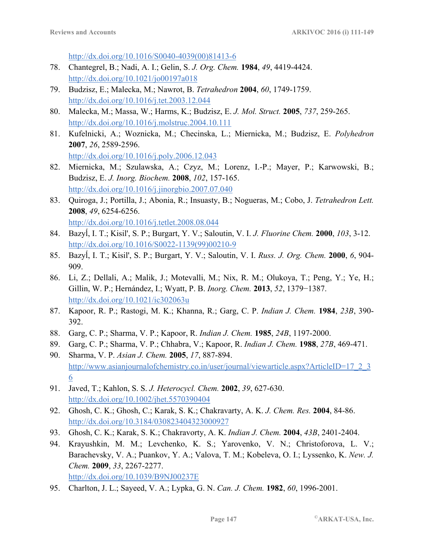http://dx.doi.org/10.1016/S0040-4039(00)81413-6

- 78. Chantegrel, B.; Nadi, A. I.; Gelin, S. *J. Org. Chem.* **1984**, *49*, 4419-4424. http://dx.doi.org/10.1021/jo00197a018
- 79. Budzisz, E.; Malecka, M.; Nawrot, B. *Tetrahedron* **2004**, *60*, 1749-1759. http://dx.doi.org/10.1016/j.tet.2003.12.044
- 80. Malecka, M.; Massa, W.; Harms, K.; Budzisz, E. *J. Mol. Struct.* **2005**, *737*, 259-265. http://dx.doi.org/10.1016/j.molstruc.2004.10.111
- 81. Kufelnicki, A.; Woznicka, M.; Checinska, L.; Miernicka, M.; Budzisz, E. *Polyhedron* **2007**, *26*, 2589-2596. http://dx.doi.org/10.1016/j.poly.2006.12.043
- 82. Miernicka, M.; Szulawska, A.; Czyz, M.; Lorenz, I.-P.; Mayer, P.; Karwowski, B.; Budzisz, E. *J. Inorg. Biochem.* **2008**, *102*, 157-165. http://dx.doi.org/10.1016/j.jinorgbio.2007.07.040
- 83. Quiroga, J.; Portilla, J.; Abonia, R.; Insuasty, B.; Nogueras, M.; Cobo, J. *Tetrahedron Lett.* **2008**, *49*, 6254-6256. http://dx.doi.org/10.1016/j.tetlet.2008.08.044
- 84. Bazyĺ, I. T.; Kisil', S. P.; Burgart, Y. V.; Saloutin, V. I. *J. Fluorine Chem.* **2000**, *103*, 3-12. http://dx.doi.org/10.1016/S0022-1139(99)00210-9
- 85. Bazyĺ, I. T.; Kisil', S. P.; Burgart, Y. V.; Saloutin, V. I. *Russ. J. Org. Chem.* **2000**, *6*, 904- 909.
- 86. Li, Z.; Dellali, A.; Malik, J.; Motevalli, M.; Nix, R. M.; Olukoya, T.; Peng, Y.; Ye, H.; Gillin, W. P.; Hernández, I.; Wyatt, P. B. *Inorg. Chem.* **2013**, *52*, 1379−1387. http://dx.doi.org/10.1021/ic302063u
- 87. Kapoor, R. P.; Rastogi, M. K.; Khanna, R.; Garg, C. P. *Indian J. Chem.* **1984**, *23B*, 390- 392.
- 88. Garg, C. P.; Sharma, V. P.; Kapoor, R. *Indian J. Chem.* **1985**, *24B*, 1197-2000.
- 89. Garg, C. P.; Sharma, V. P.; Chhabra, V.; Kapoor, R. *Indian J. Chem.* **1988**, *27B*, 469-471.
- 90. Sharma, V. P. *Asian J. Chem.* **2005**, *17*, 887-894. http://www.asianjournalofchemistry.co.in/user/journal/viewarticle.aspx?ArticleID=17\_2\_3 6
- 91. Javed, T.; Kahlon, S. S. *J. Heterocycl. Chem.* **2002**, *39*, 627-630. http://dx.doi.org/10.1002/jhet.5570390404
- 92. Ghosh, C. K.; Ghosh, C.; Karak, S. K.; Chakravarty, A. K. *J. Chem. Res.* **2004**, 84-86. http://dx.doi.org/10.3184/030823404323000927
- 93. Ghosh, C. K.; Karak, S. K.; Chakravorty, A. K. *Indian J. Chem.* **2004**, *43B*, 2401-2404.
- 94. Krayushkin, M. M.; Levchenko, K. S.; Yarovenko, V. N.; Christoforova, L. V.; Barachevsky, V. A.; Puankov, Y. A.; Valova, T. M.; Kobeleva, O. I.; Lyssenko, K. *New. J. Chem.* **2009**, *33*, 2267-2277. http://dx.doi.org/10.1039/B9NJ00237E
- 95. Charlton, J. L.; Sayeed, V. A.; Lypka, G. N. *Can. J. Chem.* **1982**, *60*, 1996-2001.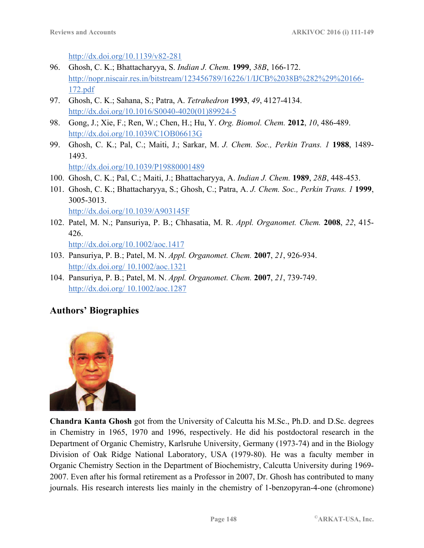http://dx.doi.org/10.1139/v82-281

- 96. Ghosh, C. K.; Bhattacharyya, S. *Indian J. Chem.* **1999**, *38B*, 166-172. http://nopr.niscair.res.in/bitstream/123456789/16226/1/IJCB%2038B%282%29%20166- 172.pdf
- 97. Ghosh, C. K.; Sahana, S.; Patra, A. *Tetrahedron* **1993**, *49*, 4127-4134. http://dx.doi.org/10.1016/S0040-4020(01)89924-5
- 98. Gong, J.; Xie, F.; Ren, W.; Chen, H.; Hu, Y. *Org. Biomol. Chem.* **2012**, *10*, 486-489. http://dx.doi.org/10.1039/C1OB06613G
- 99. Ghosh, C. K.; Pal, C.; Maiti, J.; Sarkar, M. *J. Chem. Soc., Perkin Trans. 1* **1988**, 1489- 1493. http://dx.doi.org/10.1039/P19880001489

100. Ghosh, C. K.; Pal, C.; Maiti, J.; Bhattacharyya, A. *Indian J. Chem.* **1989**, *28B*, 448-453.

- 101. Ghosh, C. K.; Bhattacharyya, S.; Ghosh, C.; Patra, A. *J. Chem. Soc., Perkin Trans. 1* **1999**, 3005-3013. http://dx.doi.org/10.1039/A903145F
- 102. Patel, M. N.; Pansuriya, P. B.; Chhasatia, M. R. *Appl. Organomet. Chem.* **2008**, *22*, 415- 426. http://dx.doi.org/10.1002/aoc.1417
- 103. Pansuriya, P. B.; Patel, M. N. *Appl. Organomet. Chem.* **2007**, *21*, 926-934. http://dx.doi.org/ 10.1002/aoc.1321
- 104. Pansuriya, P. B.; Patel, M. N. *Appl. Organomet. Chem.* **2007**, *21*, 739-749. http://dx.doi.org/ 10.1002/aoc.1287

# **Authors' Biographies**



**Chandra Kanta Ghosh** got from the University of Calcutta his M.Sc., Ph.D. and D.Sc. degrees in Chemistry in 1965, 1970 and 1996, respectively. He did his postdoctoral research in the Department of Organic Chemistry, Karlsruhe University, Germany (1973-74) and in the Biology Division of Oak Ridge National Laboratory, USA (1979-80). He was a faculty member in Organic Chemistry Section in the Department of Biochemistry, Calcutta University during 1969- 2007. Even after his formal retirement as a Professor in 2007, Dr. Ghosh has contributed to many journals. His research interests lies mainly in the chemistry of 1-benzopyran-4-one (chromone)